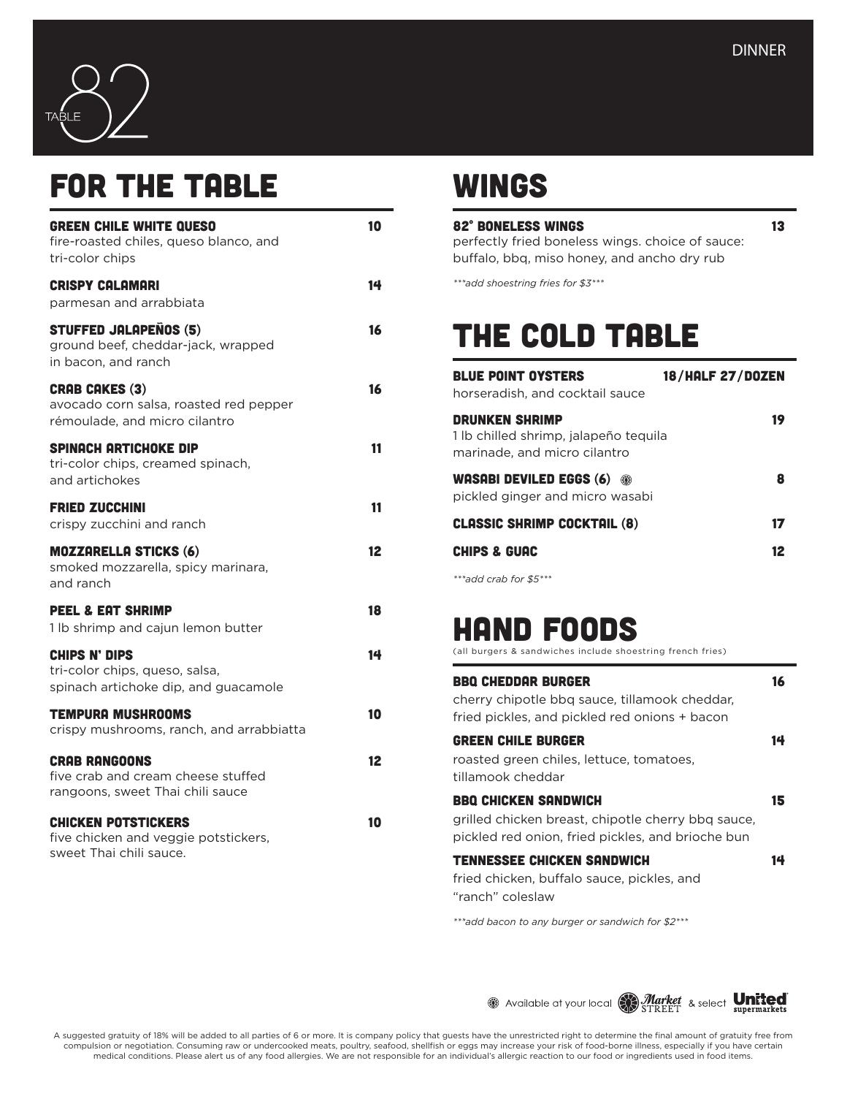

## FOR THE TABLE

| <b>GREEN CHILE WHITE QUESO</b><br>fire-roasted chiles, queso blanco, and<br>tri-color chips      | 10 |
|--------------------------------------------------------------------------------------------------|----|
| <b>CRISPY CALAMARI</b><br>parmesan and arrabbiata                                                | 14 |
| <b>STUFFED JALAPENOS (5)</b><br>ground beef, cheddar-jack, wrapped<br>in bacon, and ranch        | 16 |
| <b>CRAB CAKES (3)</b><br>avocado corn salsa, roasted red pepper<br>rémoulade, and micro cilantro | 16 |
| SPINACH ARTICHOKE DIP<br>tri-color chips, creamed spinach,<br>and artichokes                     | 11 |
| <b>FRIED ZUCCHINI</b><br>crispy zucchini and ranch                                               | 11 |
| <b>MOZZARELLA STICKS (6)</b><br>smoked mozzarella, spicy marinara,<br>and ranch                  | 12 |
| <b>PEEL &amp; EAT SHRIMP</b><br>1 lb shrimp and cajun lemon butter                               | 18 |
| CHIPS N' DIPS<br>tri-color chips, queso, salsa,<br>spinach artichoke dip, and guacamole          | 14 |
| <b>TEMPURA MUSHROOMS</b><br>crispy mushrooms, ranch, and arrabbiatta                             | 10 |
| <b>CRAB RANGOONS</b><br>five crab and cream cheese stuffed<br>rangoons, sweet Thai chili sauce   | 12 |
| <b>CHICKEN POTSTICKERS</b><br>five chicken and veggie potstickers,<br>sweet Thai chili sauce.    | 10 |

#### **WINGS**

#### 82° BONELESS WINGS 13

perfectly fried boneless wings. choice of sauce: buffalo, bbq, miso honey, and ancho dry rub

*\*\*\*add shoestring fries for \$3\*\*\**

# The cold table

| <b>BLUE POINT OYSTERS</b><br>horseradish, and cocktail sauce                                   | <b>18/HALF 27/DOZEN</b> |
|------------------------------------------------------------------------------------------------|-------------------------|
| <b>DRUNKEN SHRIMP</b><br>1 lb chilled shrimp, jalapeño teguila<br>marinade, and micro cilantro | 19                      |
| WASABI DEVILED EGGS (6)<br>$\odot$<br>pickled ginger and micro wasabi                          | 8                       |
| <b>CLASSIC SHRIMP COCKTAIL (8)</b>                                                             | 17                      |
| <b>CHIPS &amp; GUAC</b>                                                                        | 12                      |
| $x * x - 1 - 1 -  - 1 - 1 - $ (h $x * x$                                                       |                         |

*\*\*\*add crab for \$5\*\*\**

# hand foods

(all burgers & sandwiches include shoestring french fries)

| <b>BBQ CHEDDAR BURGER</b><br>cherry chipotle bbg sauce, tillamook cheddar,<br>fried pickles, and pickled red onions + bacon            | 16 |
|----------------------------------------------------------------------------------------------------------------------------------------|----|
| <b>GREEN CHILE BURGER</b><br>roasted green chiles, lettuce, tomatoes,<br>tillamook cheddar                                             | 14 |
| <b>BBO CHICKEN SANDWICH</b><br>grilled chicken breast, chipotle cherry bbg sauce,<br>pickled red onion, fried pickles, and brioche bun | 15 |
| <b>TENNESSEE CHICKEN SANDWICH</b><br>fried chicken, buffalo sauce, pickles, and                                                        | 14 |

"ranch" coleslaw

*\*\*\*add bacon to any burger or sandwich for \$2\*\*\** 

19 Available at your local Strucker & select United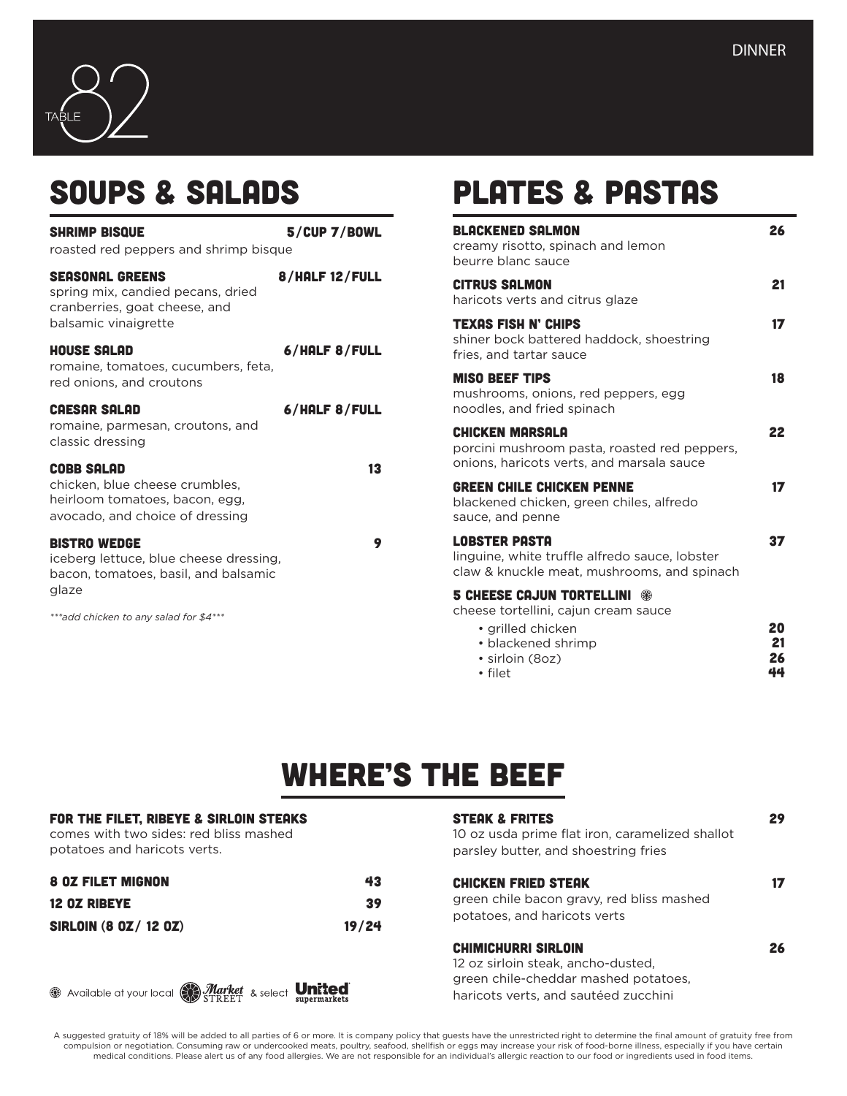

## Soups & salads

| <b>SHRIMP BISQUE</b><br>roasted red peppers and shrimp bisque                                                            | $5$ /CUP 7/BOWL |
|--------------------------------------------------------------------------------------------------------------------------|-----------------|
| <b>SEASONAL GREENS</b><br>spring mix, candied pecans, dried<br>cranberries, goat cheese, and<br>balsamic vinaigrette     | 8/HALF 12/FULL  |
| <b>HOUSE SALAD</b><br>romaine, tomatoes, cucumbers, feta,<br>red onions, and croutons                                    | 6/HALF 8/FULL   |
| <b>CAESAR SALAD</b><br>romaine, parmesan, croutons, and<br>classic dressing                                              | 6/HALF 8/FULL   |
| <b>COBB SALAD</b><br>chicken, blue cheese crumbles,<br>heirloom tomatoes, bacon, egg,<br>avocado, and choice of dressing | 13              |
| <b>BISTRO WEDGE</b>                                                                                                      |                 |

iceberg lettuce, blue cheese dressing, bacon, tomatoes, basil, and balsamic glaze

*\*\*\*add chicken to any salad for \$4\*\*\**

## Plates & Pastas

| <b>BLACKENED SALMON</b><br>creamy risotto, spinach and lemon<br>beurre blanc sauce                                    | 26       |
|-----------------------------------------------------------------------------------------------------------------------|----------|
| <b>CITRUS SALMON</b><br>haricots verts and citrus glaze                                                               | 21       |
| <b>TEXAS FISH N' CHIPS</b><br>shiner bock battered haddock, shoestring<br>fries, and tartar sauce                     | 17       |
| <b>MISO BEEF TIPS</b><br>mushrooms, onions, red peppers, egg<br>noodles, and fried spinach                            | 18       |
| <b>CHICKEN MARSALA</b><br>porcini mushroom pasta, roasted red peppers,<br>onions, haricots verts, and marsala sauce   | 22       |
| <b>GREEN CHILE CHICKEN PENNE</b><br>blackened chicken, green chiles, alfredo<br>sauce, and penne                      | 17       |
| <b>LOBSTER PASTA</b><br>linguine, white truffle alfredo sauce, lobster<br>claw & knuckle meat, mushrooms, and spinach | 37       |
| <b>5 CHEESE CAJUN TORTELLINI ®</b><br>cheese tortellini, cajun cream sauce                                            |          |
| • grilled chicken<br>• blackened shrimp                                                                               | 20<br>21 |

• sirloin (8oz) **26**<br>• filet **44** • filet  $\overline{44}$ 

# Where's the beef

| FOR THE FILET, RIBEYE & SIRLOIN STEAKS<br>comes with two sides: red bliss mashed<br>potatoes and haricots verts. |       | <b>STEAK &amp; FRITES</b><br>10 oz usda prime flat iron, caramelized shallot<br>parsley butter, and shoestring fries                             | 29 |
|------------------------------------------------------------------------------------------------------------------|-------|--------------------------------------------------------------------------------------------------------------------------------------------------|----|
| <b>8 OZ FILET MIGNON</b>                                                                                         | 43    | <b>CHICKEN FRIED STEAK</b>                                                                                                                       | 17 |
| <b>12 OZ RIBEYE</b>                                                                                              | 39    | green chile bacon gravy, red bliss mashed                                                                                                        |    |
| <b>SIRLOIN (8 0Z/ 12 0Z)</b>                                                                                     | 19/24 | potatoes, and haricots verts                                                                                                                     |    |
| 2 Available at your local <b>Market</b> & select <b>United</b>                                                   |       | <b>CHIMICHURRI SIRLOIN</b><br>12 oz sirloin steak, ancho-dusted,<br>green chile-cheddar mashed potatoes,<br>haricots verts, and sautéed zucchini | 26 |

A suggested gratuity of 18% will be added to all parties of 6 or more. It is company policy that guests have the unrestricted right to determine the final amount of gratuity free from<br>compulsion or negotiation. Consuming r